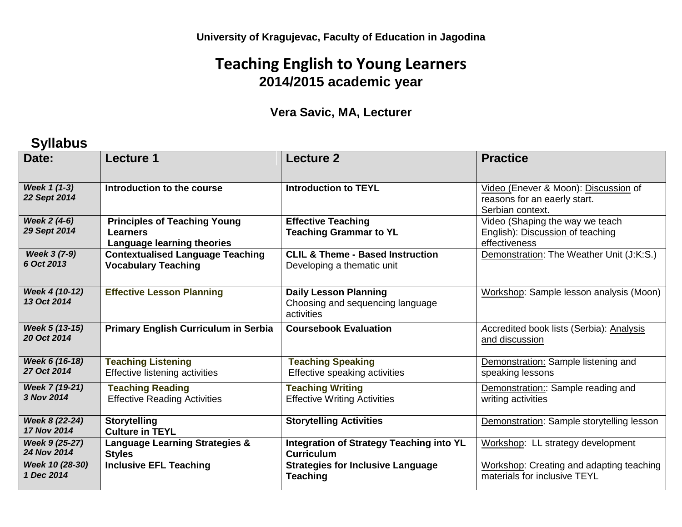## **Teaching English to Young Learners 2014/2015 academic year**

## **Vera Savic, MA, Lecturer**

## **Syllabus**

| Date:                         | <b>Lecture 1</b>                                                              | <b>Lecture 2</b>                                                               | <b>Practice</b>                                                                          |
|-------------------------------|-------------------------------------------------------------------------------|--------------------------------------------------------------------------------|------------------------------------------------------------------------------------------|
| Week 1 (1-3)<br>22 Sept 2014  | Introduction to the course                                                    | <b>Introduction to TEYL</b>                                                    | Video (Enever & Moon): Discussion of<br>reasons for an eaerly start.<br>Serbian context. |
| Week 2 (4-6)<br>29 Sept 2014  | <b>Principles of Teaching Young</b><br>Learners<br>Language learning theories | <b>Effective Teaching</b><br><b>Teaching Grammar to YL</b>                     | Video (Shaping the way we teach<br>English): Discussion of teaching<br>effectiveness     |
| Week 3 (7-9)<br>6 Oct 2013    | <b>Contextualised Language Teaching</b><br><b>Vocabulary Teaching</b>         | <b>CLIL &amp; Theme - Based Instruction</b><br>Developing a thematic unit      | Demonstration: The Weather Unit (J:K:S.)                                                 |
| Week 4 (10-12)<br>13 Oct 2014 | <b>Effective Lesson Planning</b>                                              | <b>Daily Lesson Planning</b><br>Choosing and sequencing language<br>activities | Workshop: Sample lesson analysis (Moon)                                                  |
| Week 5 (13-15)<br>20 Oct 2014 | <b>Primary English Curriculum in Serbia</b>                                   | <b>Coursebook Evaluation</b>                                                   | Accredited book lists (Serbia): Analysis<br>and discussion                               |
| Week 6 (16-18)<br>27 Oct 2014 | <b>Teaching Listening</b><br>Effective listening activities                   | <b>Teaching Speaking</b><br>Effective speaking activities                      | Demonstration: Sample listening and<br>speaking lessons                                  |
| Week 7 (19-21)<br>3 Nov 2014  | <b>Teaching Reading</b><br><b>Effective Reading Activities</b>                | <b>Teaching Writing</b><br><b>Effective Writing Activities</b>                 | Demonstration:: Sample reading and<br>writing activities                                 |
| Week 8 (22-24)<br>17 Nov 2014 | <b>Storytelling</b><br><b>Culture in TEYL</b>                                 | <b>Storytelling Activities</b>                                                 | Demonstration: Sample storytelling lesson                                                |
| Week 9 (25-27)<br>24 Nov 2014 | <b>Language Learning Strategies &amp;</b><br><b>Styles</b>                    | <b>Integration of Strategy Teaching into YL</b><br><b>Curriculum</b>           | Workshop: LL strategy development                                                        |
| Week 10 (28-30)<br>1 Dec 2014 | <b>Inclusive EFL Teaching</b>                                                 | <b>Strategies for Inclusive Language</b><br><b>Teaching</b>                    | Workshop: Creating and adapting teaching<br>materials for inclusive TEYL                 |